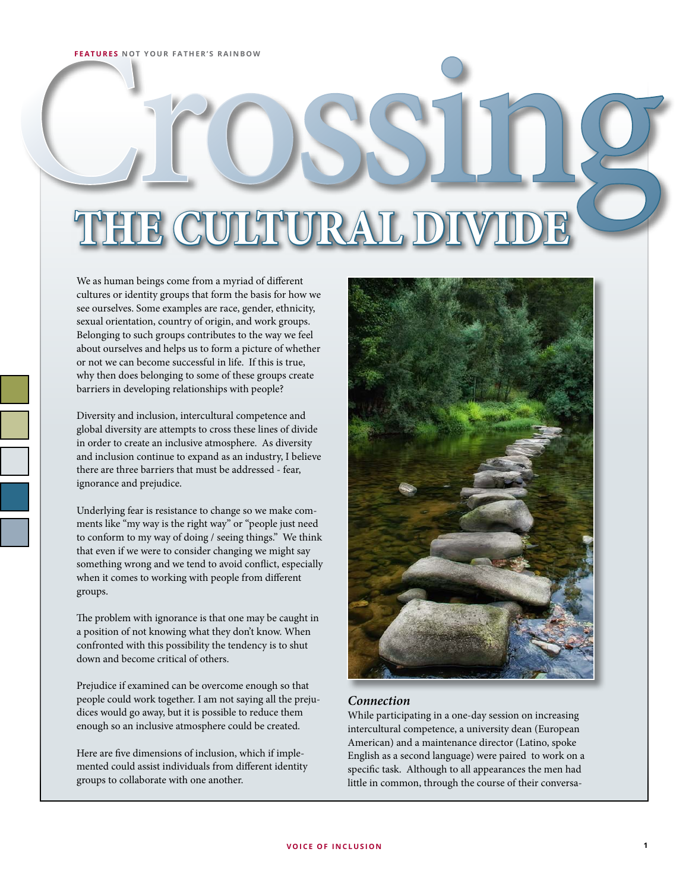# FEATURES NOT YOUR FATHER'S RAINBOW **THE CULTURAL DI**

We as human beings come from a myriad of different cultures or identity groups that form the basis for how we see ourselves. Some examples are race, gender, ethnicity, sexual orientation, country of origin, and work groups. Belonging to such groups contributes to the way we feel about ourselves and helps us to form a picture of whether or not we can become successful in life. If this is true, why then does belonging to some of these groups create barriers in developing relationships with people?

Diversity and inclusion, intercultural competence and global diversity are attempts to cross these lines of divide in order to create an inclusive atmosphere. As diversity and inclusion continue to expand as an industry, I believe there are three barriers that must be addressed - fear, ignorance and prejudice.

Underlying fear is resistance to change so we make comments like "my way is the right way" or "people just need to conform to my way of doing / seeing things." We think that even if we were to consider changing we might say something wrong and we tend to avoid conflict, especially when it comes to working with people from different groups.

The problem with ignorance is that one may be caught in a position of not knowing what they don't know. When confronted with this possibility the tendency is to shut down and become critical of others.

Prejudice if examined can be overcome enough so that people could work together. I am not saying all the prejudices would go away, but it is possible to reduce them enough so an inclusive atmosphere could be created.

Here are five dimensions of inclusion, which if implemented could assist individuals from different identity groups to collaborate with one another.



# *Connection*

While participating in a one-day session on increasing intercultural competence, a university dean (European American) and a maintenance director (Latino, spoke English as a second language) were paired to work on a specific task. Although to all appearances the men had little in common, through the course of their conversa-